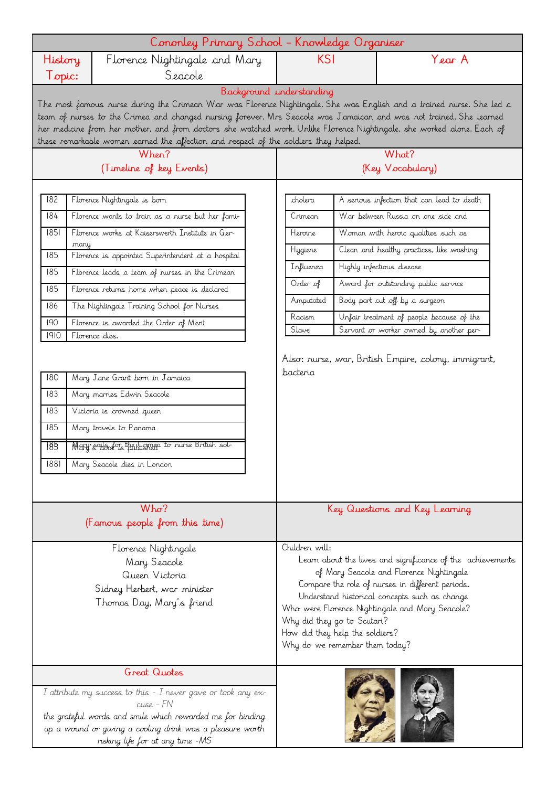| Cononley Primary School - Knowledge Organiser                                                                                                                                                                                                                    |                                                                                                                                                                                                           |  |                                                                                                                                                                                                                                                                                                                                                                                      |  |                                                                                      |  |  |
|------------------------------------------------------------------------------------------------------------------------------------------------------------------------------------------------------------------------------------------------------------------|-----------------------------------------------------------------------------------------------------------------------------------------------------------------------------------------------------------|--|--------------------------------------------------------------------------------------------------------------------------------------------------------------------------------------------------------------------------------------------------------------------------------------------------------------------------------------------------------------------------------------|--|--------------------------------------------------------------------------------------|--|--|
| History                                                                                                                                                                                                                                                          | Florence Nightingale and Mary                                                                                                                                                                             |  | KSI                                                                                                                                                                                                                                                                                                                                                                                  |  | Year A                                                                               |  |  |
| Topic:                                                                                                                                                                                                                                                           | Seacole                                                                                                                                                                                                   |  |                                                                                                                                                                                                                                                                                                                                                                                      |  |                                                                                      |  |  |
| Background understanding                                                                                                                                                                                                                                         |                                                                                                                                                                                                           |  |                                                                                                                                                                                                                                                                                                                                                                                      |  |                                                                                      |  |  |
| The most famous nurse during the Crimean War was Florence Nightingale. She was English and a trained nurse. She led a<br>team of nurses to the Crimea and changed nursing forever. Mrs Seacole was Jamaican and was not trained. She learned                     |                                                                                                                                                                                                           |  |                                                                                                                                                                                                                                                                                                                                                                                      |  |                                                                                      |  |  |
| her medicine from her mother, and from doctors she watched work. Unlike Florence Nightingale, she worked alone. Each of                                                                                                                                          |                                                                                                                                                                                                           |  |                                                                                                                                                                                                                                                                                                                                                                                      |  |                                                                                      |  |  |
| these remarkable women earned the affection and respect of the soldiers they helped.                                                                                                                                                                             |                                                                                                                                                                                                           |  |                                                                                                                                                                                                                                                                                                                                                                                      |  |                                                                                      |  |  |
| When?                                                                                                                                                                                                                                                            |                                                                                                                                                                                                           |  | What?<br>(Key Vocabulary)                                                                                                                                                                                                                                                                                                                                                            |  |                                                                                      |  |  |
| (Timeline of key Events)                                                                                                                                                                                                                                         |                                                                                                                                                                                                           |  |                                                                                                                                                                                                                                                                                                                                                                                      |  |                                                                                      |  |  |
| 182                                                                                                                                                                                                                                                              | Florence Nightingale is born                                                                                                                                                                              |  | cholera                                                                                                                                                                                                                                                                                                                                                                              |  | A serious infection that can lead to death                                           |  |  |
| 184                                                                                                                                                                                                                                                              | Florence wants to train as a nurse but her fami-                                                                                                                                                          |  | Crimean                                                                                                                                                                                                                                                                                                                                                                              |  | War between Russia on one side and                                                   |  |  |
| 85                                                                                                                                                                                                                                                               | Florence works at Kaiserswerth Institute in Ger-                                                                                                                                                          |  | Heroine                                                                                                                                                                                                                                                                                                                                                                              |  | Woman with heroic qualities such as                                                  |  |  |
| many                                                                                                                                                                                                                                                             |                                                                                                                                                                                                           |  | Hygiene                                                                                                                                                                                                                                                                                                                                                                              |  | Clean and healthy practices, like washing                                            |  |  |
| 185                                                                                                                                                                                                                                                              | Florence is appointed Superintendent at a hospital                                                                                                                                                        |  |                                                                                                                                                                                                                                                                                                                                                                                      |  |                                                                                      |  |  |
| 185                                                                                                                                                                                                                                                              | Florence leads a team of nurses in the Crimean                                                                                                                                                            |  | Influenza                                                                                                                                                                                                                                                                                                                                                                            |  | Highly infectious disease                                                            |  |  |
| 185                                                                                                                                                                                                                                                              | Florence returns home when peace is declared                                                                                                                                                              |  | Order of                                                                                                                                                                                                                                                                                                                                                                             |  | Award for outstanding public service                                                 |  |  |
| 186                                                                                                                                                                                                                                                              | The Nightingale Training School for Nurses.                                                                                                                                                               |  | Amputated                                                                                                                                                                                                                                                                                                                                                                            |  | Body part cut off by a surgeon                                                       |  |  |
| 190                                                                                                                                                                                                                                                              | Florence is awarded the Order of Merit                                                                                                                                                                    |  | Racism<br>Slave                                                                                                                                                                                                                                                                                                                                                                      |  | Unfair treatment of people because of the<br>Servant or worker owned by another per- |  |  |
| 9 0                                                                                                                                                                                                                                                              | Florence dies.                                                                                                                                                                                            |  |                                                                                                                                                                                                                                                                                                                                                                                      |  |                                                                                      |  |  |
| 180<br>183<br>183<br>185<br>185<br>1881                                                                                                                                                                                                                          | Mary Jane Grant born in Jamaica<br>Mary marries Edwin Seacole<br>Victoria is crowned queen<br>Mary travels to Panama<br>Mary earlook to the blusheen to nurse British sol-<br>Mary Seacole dies in London |  | bacteria                                                                                                                                                                                                                                                                                                                                                                             |  | Also: nurse, war, British Empire, colony, immigrant,                                 |  |  |
| Who?                                                                                                                                                                                                                                                             |                                                                                                                                                                                                           |  | Key Questions and Key Learning                                                                                                                                                                                                                                                                                                                                                       |  |                                                                                      |  |  |
| (Famous people from this time)                                                                                                                                                                                                                                   |                                                                                                                                                                                                           |  |                                                                                                                                                                                                                                                                                                                                                                                      |  |                                                                                      |  |  |
| Florence Nightingale<br>Mary Seacole<br>Queen Victoria<br>Sidney Herbert, war minister<br>Thomas Day, Mary's friend                                                                                                                                              |                                                                                                                                                                                                           |  | Children will:<br>Learn about the lives and significance of the achievements<br>of Mary Seacole and Florence Nightingale<br>Compare the role of nurses in different periods.<br>Understand historical concepts such as change<br>Who were Florence Nightingale and Mary Seacole?<br>Why did they go to Scutari?<br>How did they help the soldiers?<br>Why do we remember them today? |  |                                                                                      |  |  |
| <b>Great Quotes</b><br>I attribute my success to this - I never gave or took any ex-<br>cuse – FN<br>the grateful words and smile which rewarded me for binding<br>up a wound or giving a cooling drink was a pleasure worth<br>risking life for at any time -MS |                                                                                                                                                                                                           |  |                                                                                                                                                                                                                                                                                                                                                                                      |  |                                                                                      |  |  |